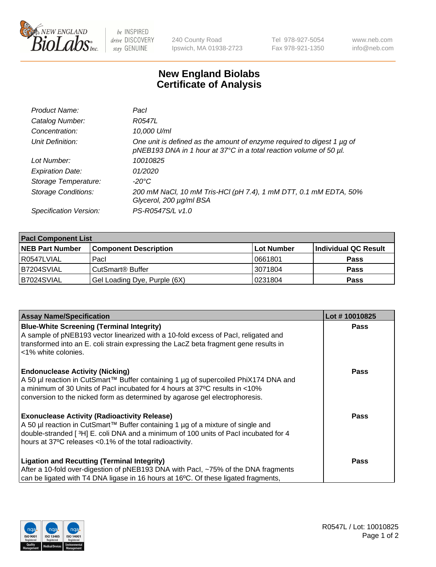

 $be$  INSPIRED drive DISCOVERY stay GENUINE

240 County Road Ipswich, MA 01938-2723 Tel 978-927-5054 Fax 978-921-1350 www.neb.com info@neb.com

## **New England Biolabs Certificate of Analysis**

| Product Name:              | Pacl                                                                                                                                              |
|----------------------------|---------------------------------------------------------------------------------------------------------------------------------------------------|
| Catalog Number:            | R0547L                                                                                                                                            |
| Concentration:             | 10,000 U/ml                                                                                                                                       |
| Unit Definition:           | One unit is defined as the amount of enzyme required to digest 1 $\mu$ g of<br>pNEB193 DNA in 1 hour at 37°C in a total reaction volume of 50 µl. |
| Lot Number:                | 10010825                                                                                                                                          |
| <b>Expiration Date:</b>    | 01/2020                                                                                                                                           |
| Storage Temperature:       | -20°C                                                                                                                                             |
| <b>Storage Conditions:</b> | 200 mM NaCl, 10 mM Tris-HCl (pH 7.4), 1 mM DTT, 0.1 mM EDTA, 50%<br>Glycerol, 200 µg/ml BSA                                                       |
| Specification Version:     | PS-R0547S/L v1.0                                                                                                                                  |

| <b>Pacl Component List</b> |                              |            |                      |  |  |
|----------------------------|------------------------------|------------|----------------------|--|--|
| <b>NEB Part Number</b>     | <b>Component Description</b> | Lot Number | Individual QC Result |  |  |
| R0547LVIAL                 | Pacl                         | 0661801    | <b>Pass</b>          |  |  |
| B7204SVIAL                 | CutSmart <sup>®</sup> Buffer | 3071804    | <b>Pass</b>          |  |  |
| B7024SVIAL                 | Gel Loading Dye, Purple (6X) | 0231804    | <b>Pass</b>          |  |  |

| <b>Assay Name/Specification</b>                                                                             | Lot #10010825 |
|-------------------------------------------------------------------------------------------------------------|---------------|
| <b>Blue-White Screening (Terminal Integrity)</b>                                                            | <b>Pass</b>   |
| A sample of pNEB193 vector linearized with a 10-fold excess of Pacl, religated and                          |               |
| transformed into an E. coli strain expressing the LacZ beta fragment gene results in<br><1% white colonies. |               |
| <b>Endonuclease Activity (Nicking)</b>                                                                      | <b>Pass</b>   |
| A 50 µl reaction in CutSmart™ Buffer containing 1 µg of supercoiled PhiX174 DNA and                         |               |
| a minimum of 30 Units of Pacl incubated for 4 hours at 37°C results in <10%                                 |               |
| conversion to the nicked form as determined by agarose gel electrophoresis.                                 |               |
| <b>Exonuclease Activity (Radioactivity Release)</b>                                                         | Pass          |
| A 50 µl reaction in CutSmart™ Buffer containing 1 µg of a mixture of single and                             |               |
| double-stranded [3H] E. coli DNA and a minimum of 100 units of Pacl incubated for 4                         |               |
| hours at 37°C releases <0.1% of the total radioactivity.                                                    |               |
| <b>Ligation and Recutting (Terminal Integrity)</b>                                                          | <b>Pass</b>   |
| After a 10-fold over-digestion of pNEB193 DNA with Pacl, ~75% of the DNA fragments                          |               |
| can be ligated with T4 DNA ligase in 16 hours at 16 $\degree$ C. Of these ligated fragments,                |               |